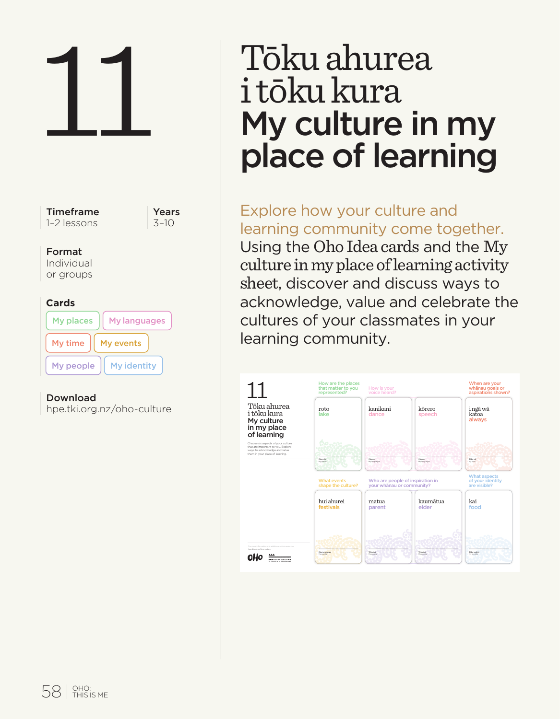

Download hpe.tki.org.nz/oho-culture **T**okushurea roto

# 11 Tōku ahurea<br>11 Tōku kura<br>11 My culture in<br>11 Dace of learn i tōku kura My culture in my place of learning

Explore how your culture and learning community come together. Using the Oho Idea cards and the My culture in my place of learning activity sheet, discover and discuss ways to acknowledge, value and celebrate the cultures of your classmates in your learning community.

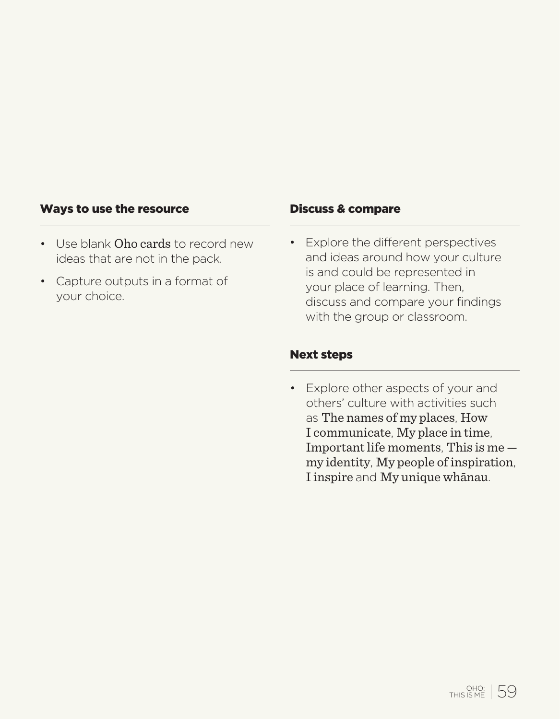#### Ways to use the resource

- Use blank Oho cards to record new ideas that are not in the pack.
- Capture outputs in a format of your choice.

#### Discuss & compare

• Explore the different perspectives and ideas around how your culture is and could be represented in your place of learning. Then, discuss and compare your findings with the group or classroom.

#### Next steps

• Explore other aspects of your and others' culture with activities such as The names of my places, How I communicate, My place in time, Important life moments, This is me my identity, My people of inspiration, I inspire and My unique whānau.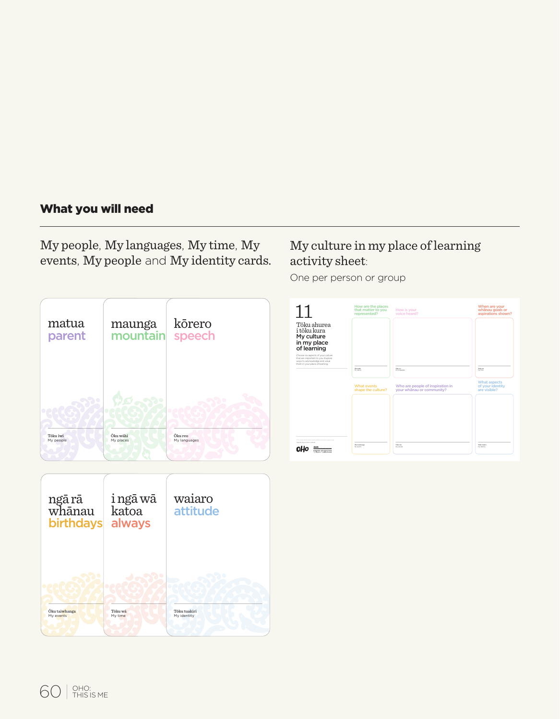# What you will need

My people, My languages, My time, My events, My people and My identity cards.

# My culture in my place of learning activity sheet:

One per person or group